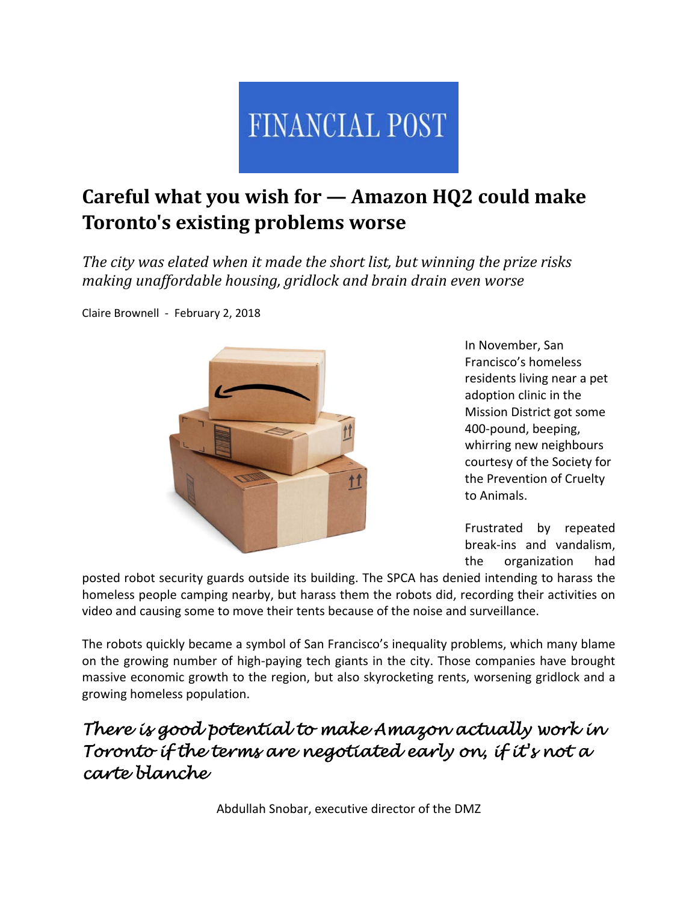

# **Careful what you wish for — Amazon HQ2 could make Toronto's existing problems worse**

*The city was elated when it made the short list, but winning the prize risks making unaffordable housing, gridlock and brain drain even worse*

Claire Brownell ‐ February 2, 2018



In November, San Francisco's homeless residents living near a pet adoption clinic in the Mission District got some 400‐pound, beeping, whirring new neighbours courtesy of the Society for the Prevention of Cruelty to Animals.

Frustrated by repeated break‐ins and vandalism, the organization had

posted robot security guards outside its building. The SPCA has denied intending to harass the homeless people camping nearby, but harass them the robots did, recording their activities on video and causing some to move their tents because of the noise and surveillance.

The robots quickly became a symbol of San Francisco's inequality problems, which many blame on the growing number of high‐paying tech giants in the city. Those companies have brought massive economic growth to the region, but also skyrocketing rents, worsening gridlock and a growing homeless population.

#### *There is good potential to make Amazon actually work in Toronto if the terms are negotiated early on, if it's not a carte blanche*

Abdullah Snobar, executive director of the DMZ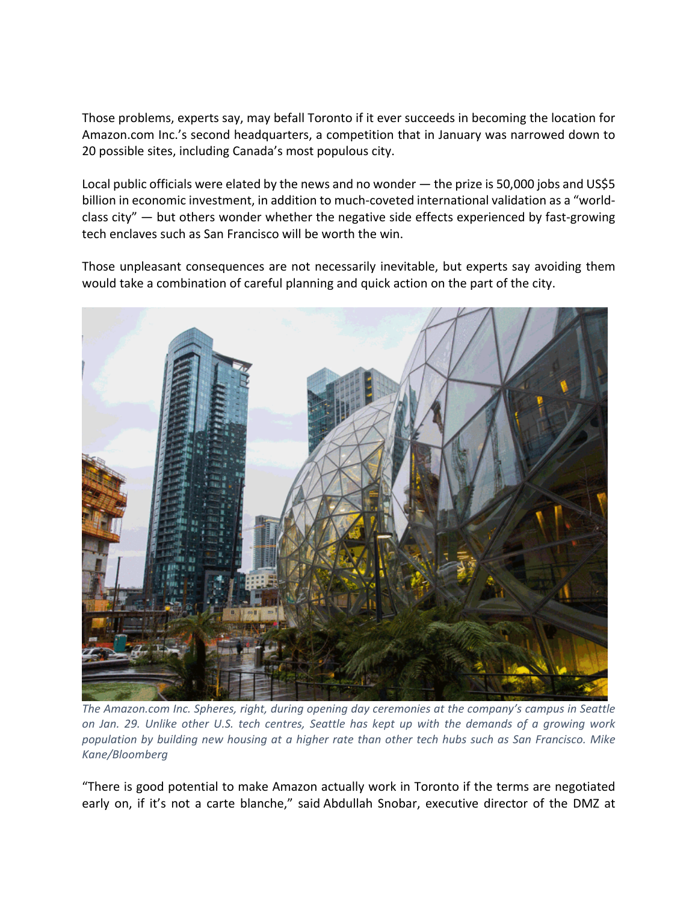Those problems, experts say, may befall Toronto if it ever succeeds in becoming the location for Amazon.com Inc.'s second headquarters, a competition that in January was narrowed down to 20 possible sites, including Canada's most populous city.

Local public officials were elated by the news and no wonder — the prize is 50,000 jobs and US\$5 billion in economic investment, in addition to much‐coveted international validation as a "world‐ class city" — but others wonder whether the negative side effects experienced by fast-growing tech enclaves such as San Francisco will be worth the win.

Those unpleasant consequences are not necessarily inevitable, but experts say avoiding them would take a combination of careful planning and quick action on the part of the city.



*The Amazon.com Inc. Spheres, right, during opening day ceremonies at the company's campus in Seattle* on Jan. 29. Unlike other U.S. tech centres, Seattle has kept up with the demands of a growing work population by building new housing at a higher rate than other tech hubs such as San Francisco. Mike *Kane/Bloomberg*

"There is good potential to make Amazon actually work in Toronto if the terms are negotiated early on, if it's not a carte blanche," said Abdullah Snobar, executive director of the DMZ at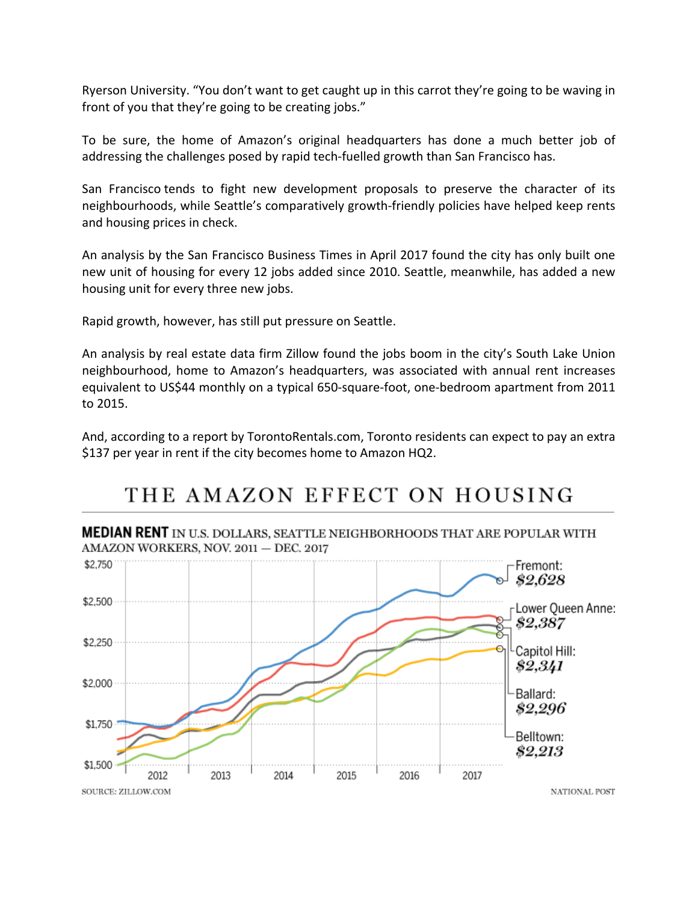Ryerson University. "You don't want to get caught up in this carrot they're going to be waving in front of you that they're going to be creating jobs."

To be sure, the home of Amazon's original headquarters has done a much better job of addressing the challenges posed by rapid tech-fuelled growth than San Francisco has.

San Francisco tends to fight new development proposals to preserve the character of its neighbourhoods, while Seattle's comparatively growth‐friendly policies have helped keep rents and housing prices in check.

An analysis by the San Francisco Business Times in April 2017 found the city has only built one new unit of housing for every 12 jobs added since 2010. Seattle, meanwhile, has added a new housing unit for every three new jobs.

Rapid growth, however, has still put pressure on Seattle.

An analysis by real estate data firm Zillow found the jobs boom in the city's South Lake Union neighbourhood, home to Amazon's headquarters, was associated with annual rent increases equivalent to US\$44 monthly on a typical 650‐square‐foot, one‐bedroom apartment from 2011 to 2015.

And, according to a report by TorontoRentals.com, Toronto residents can expect to pay an extra \$137 per year in rent if the city becomes home to Amazon HQ2.

## THE AMAZON EFFECT ON HOUSING

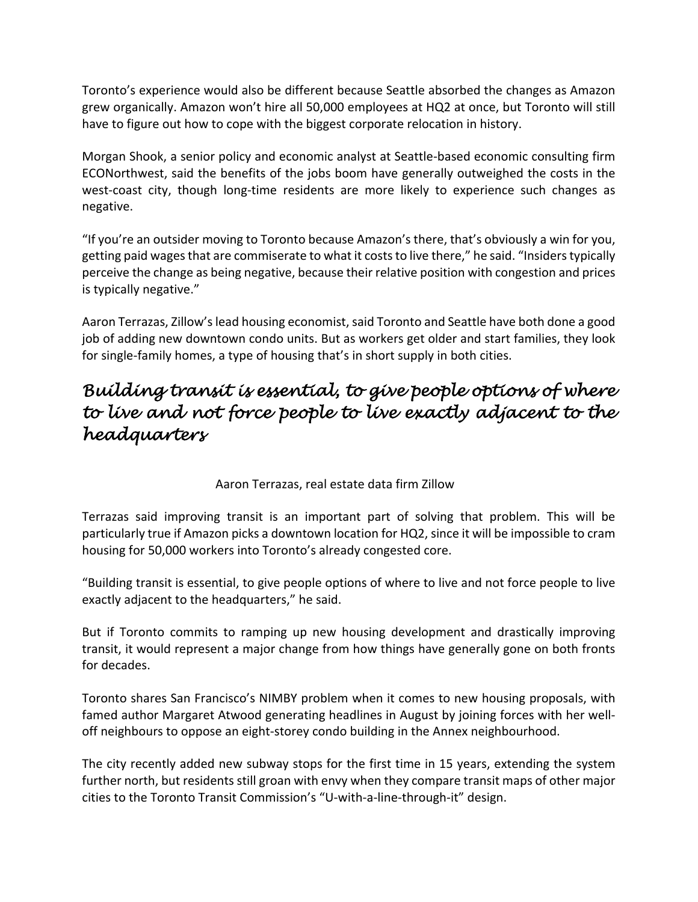Toronto's experience would also be different because Seattle absorbed the changes as Amazon grew organically. Amazon won't hire all 50,000 employees at HQ2 at once, but Toronto will still have to figure out how to cope with the biggest corporate relocation in history.

Morgan Shook, a senior policy and economic analyst at Seattle‐based economic consulting firm ECONorthwest, said the benefits of the jobs boom have generally outweighed the costs in the west-coast city, though long-time residents are more likely to experience such changes as negative.

"If you're an outsider moving to Toronto because Amazon's there, that's obviously a win for you, getting paid wages that are commiserate to what it costs to live there," he said. "Insiders typically perceive the change as being negative, because their relative position with congestion and prices is typically negative."

Aaron Terrazas, Zillow's lead housing economist, said Toronto and Seattle have both done a good job of adding new downtown condo units. But as workers get older and start families, they look for single-family homes, a type of housing that's in short supply in both cities.

### *Building transit is essential, to give people options of where to live and not force people to live exactly adjacent to the headquarters*

#### Aaron Terrazas, real estate data firm Zillow

Terrazas said improving transit is an important part of solving that problem. This will be particularly true if Amazon picks a downtown location for HQ2, since it will be impossible to cram housing for 50,000 workers into Toronto's already congested core.

"Building transit is essential, to give people options of where to live and not force people to live exactly adjacent to the headquarters," he said.

But if Toronto commits to ramping up new housing development and drastically improving transit, it would represent a major change from how things have generally gone on both fronts for decades.

Toronto shares San Francisco's NIMBY problem when it comes to new housing proposals, with famed author Margaret Atwood generating headlines in August by joining forces with her well‐ off neighbours to oppose an eight‐storey condo building in the Annex neighbourhood.

The city recently added new subway stops for the first time in 15 years, extending the system further north, but residents still groan with envy when they compare transit maps of other major cities to the Toronto Transit Commission's "U‐with‐a‐line‐through‐it" design.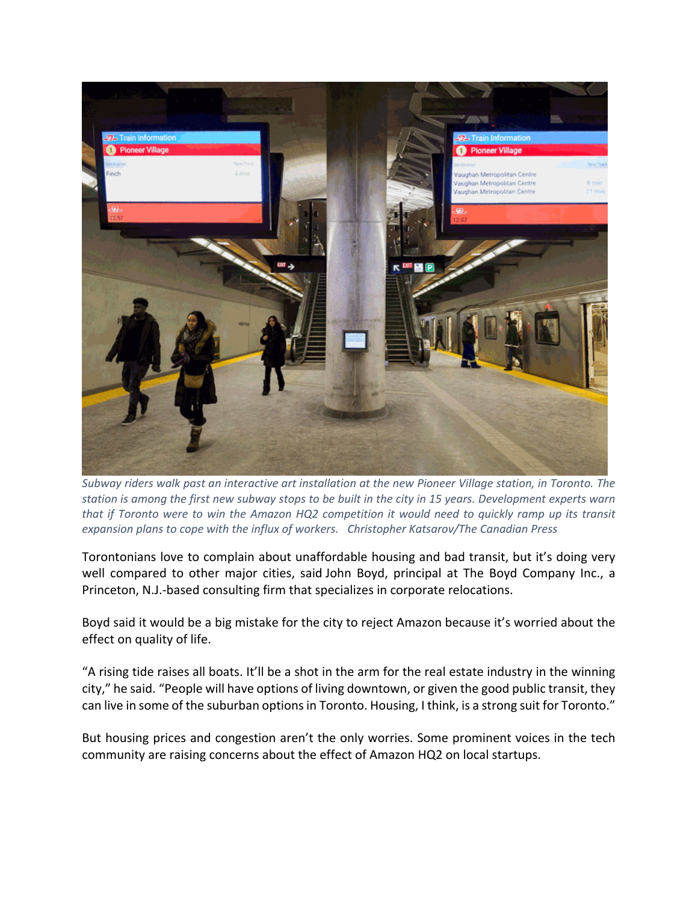

Subway riders walk past an interactive art installation at the new Pioneer Village station, in Toronto. The station is among the first new subway stops to be built in the city in 15 years. Development experts warn that if Toronto were to win the Amazon HQ2 competition it would need to quickly ramp up its transit *expansion plans to cope with the influx of workers. Christopher Katsarov/The Canadian Press*

Torontonians love to complain about unaffordable housing and bad transit, but it's doing very well compared to other major cities, said John Boyd, principal at The Boyd Company Inc., a Princeton, N.J.‐based consulting firm that specializes in corporate relocations.

Boyd said it would be a big mistake for the city to reject Amazon because it's worried about the effect on quality of life.

"A rising tide raises all boats. It'll be a shot in the arm for the real estate industry in the winning city," he said. "People will have options of living downtown, or given the good public transit, they can live in some of the suburban options in Toronto. Housing, I think, is a strong suit for Toronto."

But housing prices and congestion aren't the only worries. Some prominent voices in the tech community are raising concerns about the effect of Amazon HQ2 on local startups.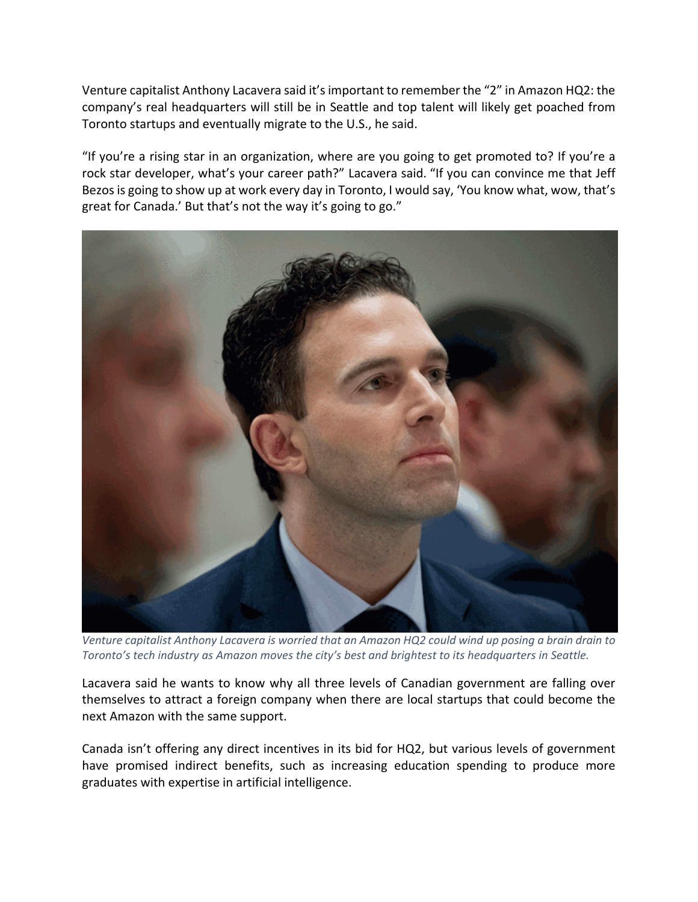Venture capitalist Anthony Lacavera said it'simportant to remember the "2" in Amazon HQ2: the company's real headquarters will still be in Seattle and top talent will likely get poached from Toronto startups and eventually migrate to the U.S., he said.

"If you're a rising star in an organization, where are you going to get promoted to? If you're a rock star developer, what's your career path?" Lacavera said. "If you can convince me that Jeff Bezos is going to show up at work every day in Toronto, I would say, 'You know what, wow, that's great for Canada.' But that's not the way it's going to go."



Venture capitalist Anthony Lacavera is worried that an Amazon HQ2 could wind up posing a brain drain to *Toronto's tech industry as Amazon moves the city's best and brightest to its headquarters in Seattle.*

Lacavera said he wants to know why all three levels of Canadian government are falling over themselves to attract a foreign company when there are local startups that could become the next Amazon with the same support.

Canada isn't offering any direct incentives in its bid for HQ2, but various levels of government have promised indirect benefits, such as increasing education spending to produce more graduates with expertise in artificial intelligence.